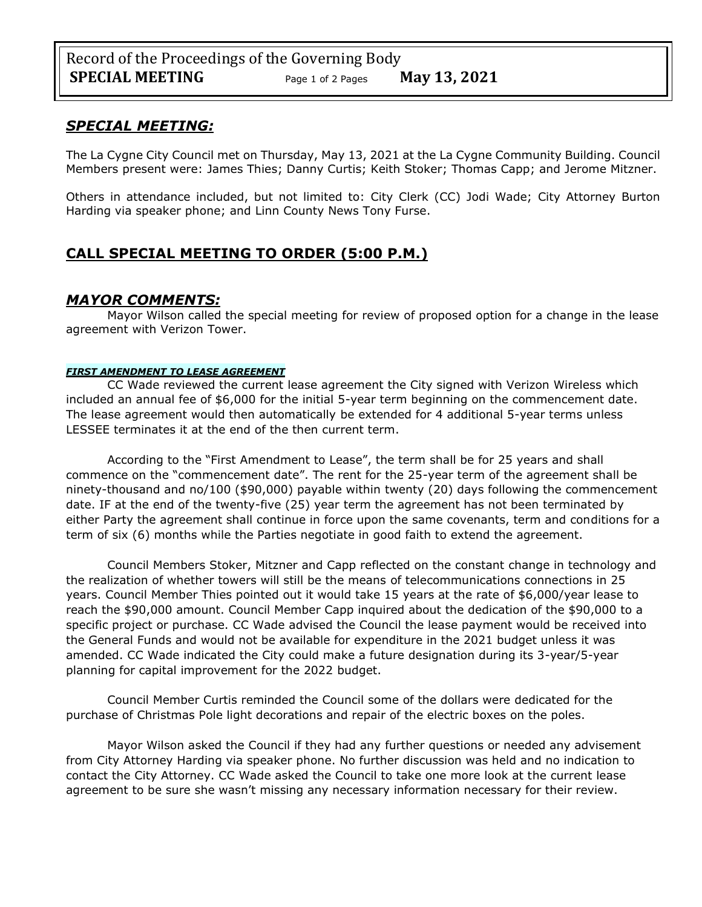## *SPECIAL MEETING:*

The La Cygne City Council met on Thursday, May 13, 2021 at the La Cygne Community Building. Council Members present were: James Thies; Danny Curtis; Keith Stoker; Thomas Capp; and Jerome Mitzner.

Others in attendance included, but not limited to: City Clerk (CC) Jodi Wade; City Attorney Burton Harding via speaker phone; and Linn County News Tony Furse.

# **CALL SPECIAL MEETING TO ORDER (5:00 P.M.)**

## *MAYOR COMMENTS:*

Mayor Wilson called the special meeting for review of proposed option for a change in the lease agreement with Verizon Tower.

#### *FIRST AMENDMENT TO LEASE AGREEMENT*

CC Wade reviewed the current lease agreement the City signed with Verizon Wireless which included an annual fee of \$6,000 for the initial 5-year term beginning on the commencement date. The lease agreement would then automatically be extended for 4 additional 5-year terms unless LESSEE terminates it at the end of the then current term.

According to the "First Amendment to Lease", the term shall be for 25 years and shall commence on the "commencement date". The rent for the 25-year term of the agreement shall be ninety-thousand and no/100 (\$90,000) payable within twenty (20) days following the commencement date. IF at the end of the twenty-five (25) year term the agreement has not been terminated by either Party the agreement shall continue in force upon the same covenants, term and conditions for a term of six (6) months while the Parties negotiate in good faith to extend the agreement.

Council Members Stoker, Mitzner and Capp reflected on the constant change in technology and the realization of whether towers will still be the means of telecommunications connections in 25 years. Council Member Thies pointed out it would take 15 years at the rate of \$6,000/year lease to reach the \$90,000 amount. Council Member Capp inquired about the dedication of the \$90,000 to a specific project or purchase. CC Wade advised the Council the lease payment would be received into the General Funds and would not be available for expenditure in the 2021 budget unless it was amended. CC Wade indicated the City could make a future designation during its 3-year/5-year planning for capital improvement for the 2022 budget.

Council Member Curtis reminded the Council some of the dollars were dedicated for the purchase of Christmas Pole light decorations and repair of the electric boxes on the poles.

Mayor Wilson asked the Council if they had any further questions or needed any advisement from City Attorney Harding via speaker phone. No further discussion was held and no indication to contact the City Attorney. CC Wade asked the Council to take one more look at the current lease agreement to be sure she wasn't missing any necessary information necessary for their review.